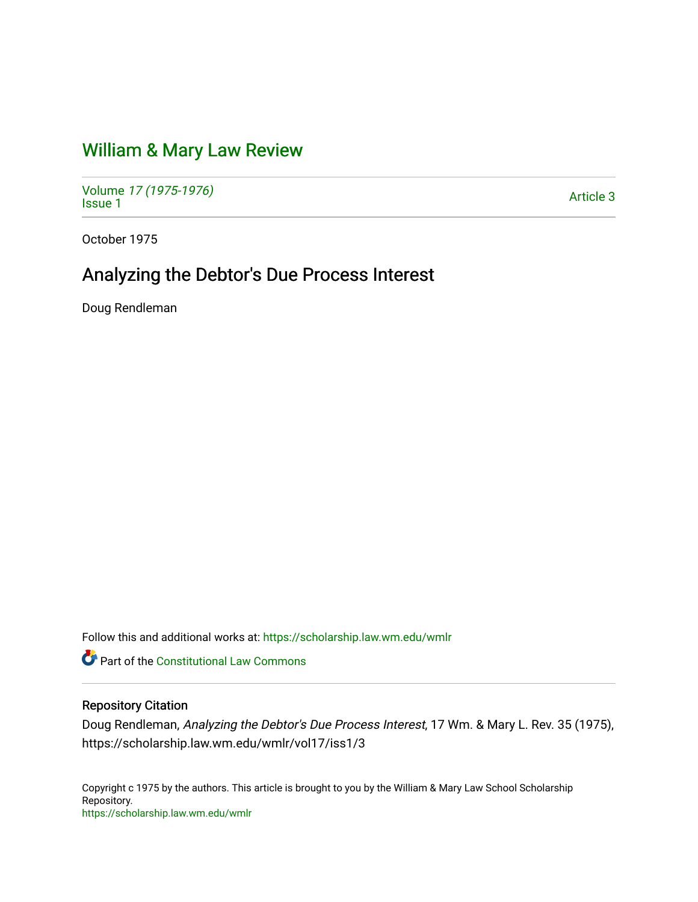## [William & Mary Law Review](https://scholarship.law.wm.edu/wmlr)

Volume [17 \(1975-1976\)](https://scholarship.law.wm.edu/wmlr/vol17)  Notative 17 (1975-1970)<br>[Issue 1](https://scholarship.law.wm.edu/wmlr/vol17/iss1)

October 1975

# Analyzing the Debtor's Due Process Interest

Doug Rendleman

Follow this and additional works at: [https://scholarship.law.wm.edu/wmlr](https://scholarship.law.wm.edu/wmlr?utm_source=scholarship.law.wm.edu%2Fwmlr%2Fvol17%2Fiss1%2F3&utm_medium=PDF&utm_campaign=PDFCoverPages)

**P** Part of the Constitutional Law Commons

### Repository Citation

Doug Rendleman, Analyzing the Debtor's Due Process Interest, 17 Wm. & Mary L. Rev. 35 (1975), https://scholarship.law.wm.edu/wmlr/vol17/iss1/3

Copyright c 1975 by the authors. This article is brought to you by the William & Mary Law School Scholarship Repository. <https://scholarship.law.wm.edu/wmlr>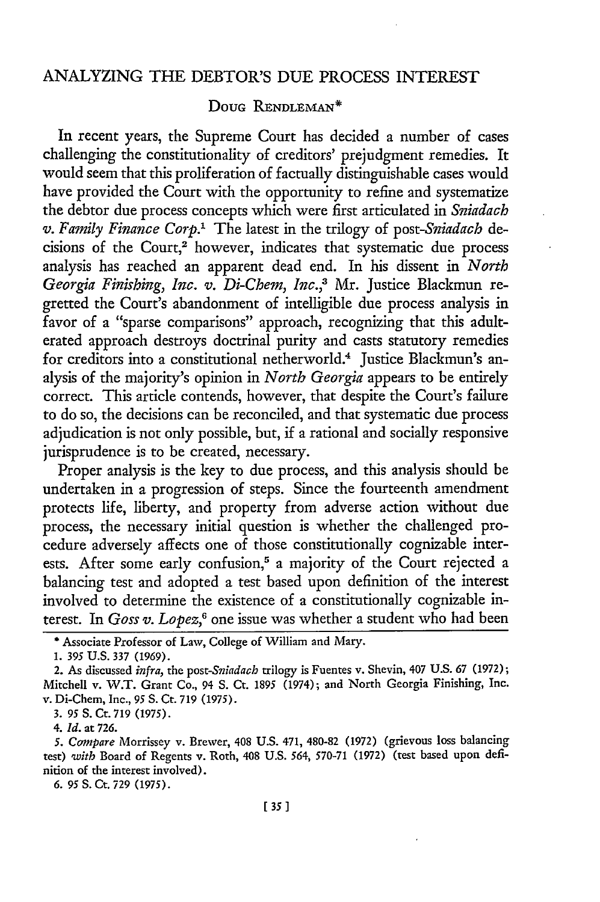### ANALYZING THE DEBTOR'S DUE PROCESS INTEREST

### Doug RENDLEMAN<sup>\*</sup>

In recent years, the Supreme Court has decided a number of cases challenging the constitutionality of creditors' prejudgment remedies. It would seem that this proliferation of factually distinguishable cases would have provided the Court with the opportunity to refine and systematize the debtor due process concepts which were first articulated in *Sniadach v. Family Finance Corp.'* The latest in the trilogy of *post-Sniadach* decisions of the Court,<sup>2</sup> however, indicates that systematic due process analysis has reached an apparent dead end. In his dissent in *North Georgia Finishing, Inc. v. Di-Chem, Inc.,3* Mr. Justice Blackmun regretted the Court's abandonment of intelligible due process analysis in favor of a "sparse comparisons" approach, recognizing that this adulterated approach destroys doctrinal purity and casts statutory remedies for creditors into a constitutional netherworld.<sup>4</sup> Justice Blackmun's analysis of the majority's opinion in *North Georgia* appears to be entirely correct. This article contends, however, that despite the Court's failure to do so, the decisions can be reconciled, and that systematic due process adjudication is not only possible, but, if a rational and socially responsive jurisprudence is to be created, necessary.

Proper analysis is the key to due process, and this analysis should be undertaken in a progression of steps. Since the fourteenth amendment protects life, liberty, and property from adverse action without due process, the necessary initial question is whether the challenged procedure adversely affects one of those constitutionally cognizable interests. After some early confusion,<sup>5</sup> a majority of the Court rejected a balancing test and adopted a test based upon definition of the interest involved to determine the existence of a constitutionally cognizable interest. In *Goss v. Lopez*,<sup>6</sup> one issue was whether a student who had been

*4. Id.* at 726.

*6.* 95 **S.** Ct. 729 (1975).

<sup>\*</sup> Associate Professor of Law, College of William and Mary.

**<sup>1.</sup>** *395* **U.S. 337** (1969).

<sup>2.</sup> As discussed *infra,* the *post-Sniadach* trilogy is Fuentes v. Shevin, 407 U.S. 67 (1972); Mitchell v. W.T. Grant Co., 94 S. Ct. 1895 (1974); and North Georgia Finishing, Inc. v. Di-Chem, Inc., **95** S. Ct. 719 (1975).

**<sup>3.</sup>** 95 **S.** Cr. 719 (1975).

*<sup>5.</sup> Compare* Morrissey v. Brewer, 408 U.S. 471, 480-82 (1972) (grievous loss balancing test) *'with* Board of Regents v. Roth, 408 U.S. 564, 570-71 (1972) (test based upon definition of the interest involved).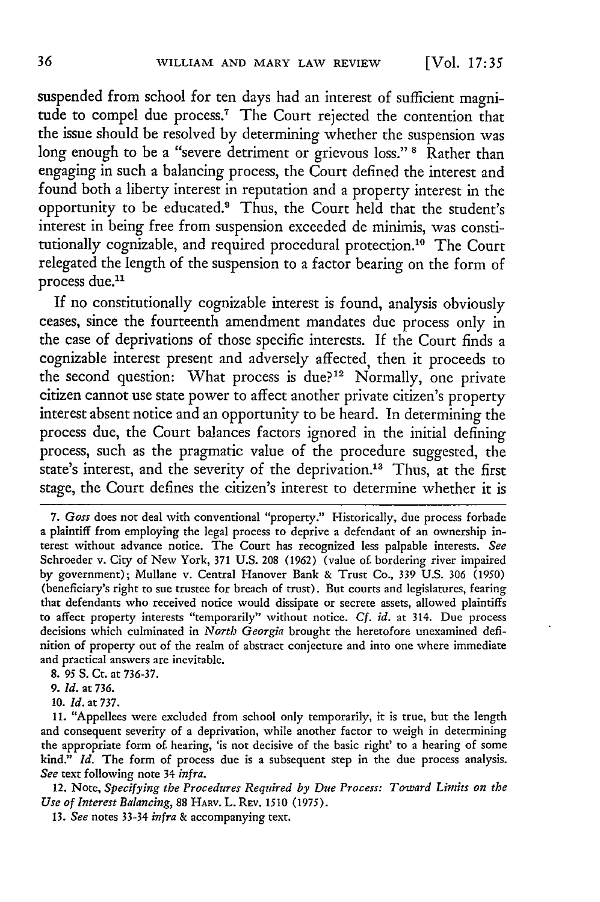suspended from school for ten days had an interest of sufficient magnitude to compel due process.<sup>7</sup> The Court rejected the contention that the issue should be resolved by determining whether the suspension was long enough to **be** a "severe detriment or grievous **loss." 8** Rather than engaging in such a balancing process, the Court defined the interest and found both a liberty interest in reputation and a property interest in the opportunity to be educated.9 Thus, the Court held that the student's interest in being free from suspension exceeded de minimis, was constitutionally cognizable, and required procedural protection.<sup>10</sup> The Court relegated the length of the suspension to a factor bearing on the form of process due.<sup>11</sup>

If no constitutionally cognizable interest is found, analysis obviously ceases, since the fourteenth amendment mandates due process only in the case of deprivations of those specific interests. If the Court finds a cognizable interest present and adversely affected, then it proceeds to the second question: What process is due?<sup>12</sup> Normally, one private citizen cannot use state power to affect another private citizen's property interest absent notice and an opportunity to be heard. In determining the process due, the Court balances factors ignored in the initial defining process, such as the pragmatic value of the procedure suggested, the state's interest, and the severity of the deprivation.<sup>13</sup> Thus, at the first stage, the Court defines the citizen's interest to determine whether it is

8. 95 **S.** Ct. at 736-37.

**10.** *ld.* at **737.**

11. "Appellees were excluded from school only temporarily, it is true, but the length and consequent severity of a deprivation, while another factor to weigh in determining the appropriate form of. hearing, 'is not decisive of the basic right' to a hearing of some kind." *Id.* The form of process due is a subsequent step in the due process analysis. *See* text following note 34 *infra.*

12. Note, *Specifying the Procedures Required by Due Process: Toward Limits on the Use of Interest Balancing,* 88 HARv. L. REv. 1510 (1975).

13. *See* notes 33-34 *infra* & accompanying text.

**<sup>7.</sup>** Goss does not deal with conventional "property." Historically, due process forbade a plaintiff from employing the legal process to deprive a defendant of an ownership interest without advance notice. The Court has recognized less palpable interests. See Schroeder v. City of New York, 371 U.S. 208 (1962) (value of. bordering river impaired by government); Mullane v. Central Hanover Bank & Trust Co., 339 U.S. 306 (1950) (beneficiary's right to sue trustee for breach of trust). But courts and legislatures, fearing that defendants who received notice would dissipate or secrete assets, allowed plaintiffs to affect property interests "temporarily" without notice. **Cf.** *id.* at 314. Due process decisions which culminated in *North Georgia* brought the heretofore unexamined definition of property out of the realm of abstract conjecture and into one where immediate and practical answers are inevitable.

**<sup>9.</sup>** *ld.* at 736.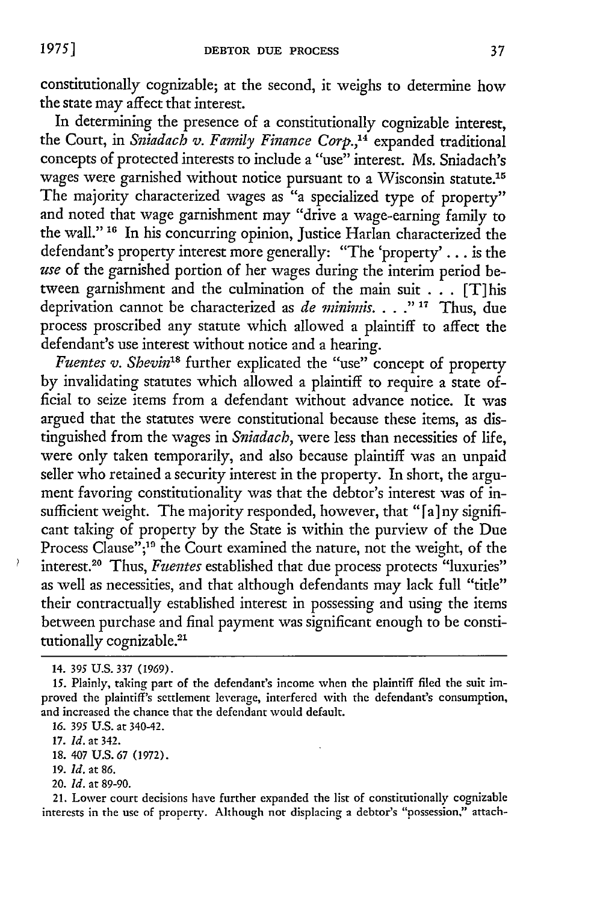constitutionally cognizable; at the second, it weighs to determine how the state may affect that interest.

In determining the presence of a constitutionally cognizable interest, the Court, in *Sniadach v. Family Finance Corp.,4* expanded traditional concepts of protected interests to include a "use" interest. Ms. Sniadach's wages were garnished without notice pursuant to a Wisconsin statute.15 The majority characterized wages as "a specialized type of property" and noted that wage garnishment may "drive a wage-earning family to the wall." **"6** In his concurring opinion, Justice Harlan characterized the defendant's property interest more generally: "The 'property' **. .** . is the *use* of the garnished portion of her wages during the interim period between garnishment and the culmination of the main suit . . . [T] his deprivation cannot be characterized as *de minimis.* . **. ."** ' Thus, due process proscribed any statute which allowed a plaintiff to affect the defendant's use interest without notice and a hearing.

*Fuentes v. Shevin'8* further explicated the "use" concept of property by invalidating statutes which allowed a plaintiff to require a state official to seize items from a defendant without advance notice. It was argued that the statutes were constitutional because these items, as distinguished from the wages in *Sniadach,* were less than necessities of life, were only taken temporarily, and also because plaintiff was an unpaid seller who retained a security interest in the property. In short, the argument favoring constitutionality was that the debtor's interest was of insufficient weight. The majority responded, however, that "[a] ny significant taking of property by the State is within the purview of the Due Process Clause";<sup>19</sup> the Court examined the nature, not the weight, of the interest.20 Thus, *Fuentes* established that due process protects "luxuries" as well as necessities, and that although defendants may lack full "title" their contractually established interest in possessing and using the items between purchase and final payment was significant enough to be constitutionally cognizable.<sup>21</sup>

7

19. *Id.* at 86.

21. Lower court decisions have further expanded the list of constitutionally cognizable interests in the use of property. Although nor displacing a debtor's "possession," attach-

<sup>14. 395</sup> **U.S. 337 (1969).**

**<sup>15.</sup>** Plainly, taking part of the defendant's income when the plaintiff **filed** the suit improved the plaintiff's settlement leverage, interfered with the defendant's consumption, and increased the chance that the defendant would default.

*<sup>16. 395</sup>* U.S. at 340-42.

<sup>17.</sup> *Id.* at 342.

<sup>18. 407</sup> U.S. 67 (1972).

<sup>20.</sup> *Id.* at 89-90.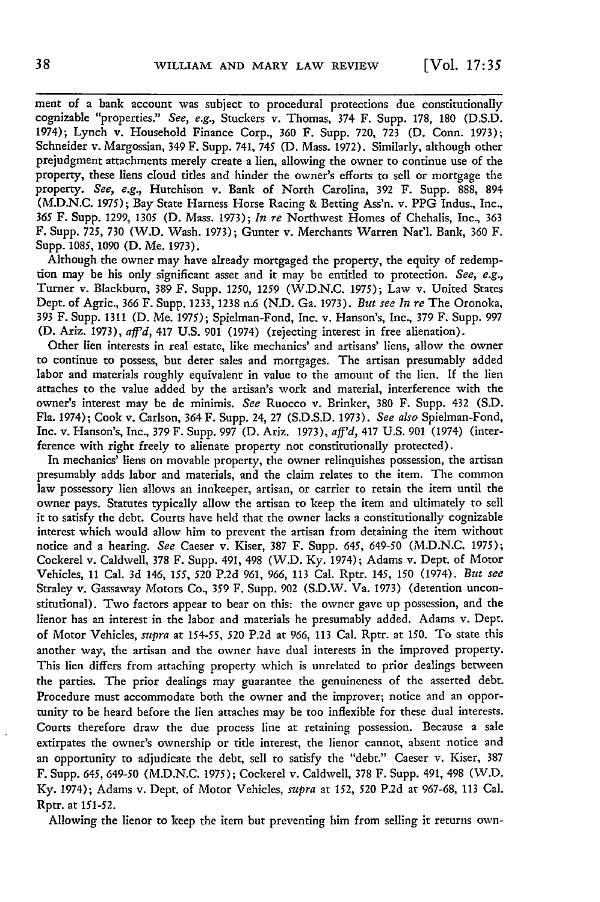ment of a bank account was subject to procedural protections due constitutionally cognizable "properties." See, e.g., Stuckers v. Thomas, 374 F. Supp. **178,** 180 (D.S.D. 1974); Lynch v. Household Finance Corp., 360 F. Supp. 720, 723 **(D.** Conn. 1973); Schneider v. Margossian, 349 F. Supp. 741, 745 **(D.** Mass. 1972). Similarly, although other prejudgment attachments merely create a lien, allowing the owner to continue use of the property, these liens cloud titles and hinder the owner's efforts to sell or mortgage the property. *See, e.g.,* Hutchison v. Bank of North Carolina, 392 F. Supp. 888, 894 (M.D.N.C. 1975); Bay State Harness Horse Racing & Betting Ass'n. v. PPG Indus., Inc., *365* F. Supp. 1299, 1305 (D. Mass. 1973); *In re* Northwest Homes of Chehalis, Inc., 363 F. Supp. 725, 730 (W.D. Wash. 1973); Gunter v. Merchants Warren Nat'l. Bank, 360 F. Supp. 1085, 1090 **(D.** Me. 1973).

Although the owner may have already mortgaged the property, the equity of redemption may be his only significant asset and it may be entitled to protection. *See, e.g.,* Turner v. Blackburn, 389 F. Supp. 1250, 1259 (W.D.N.C. 1975); Law v. United States Dept. of Agric., 366 F. Supp. 1233, 1238 n.6 (N.D. Ga. 1973). *But see In re* The Oronoka, 393 F. Supp. 1311 **(D.** Me. 1975); Spielman-Fond, Inc. v. Hanson's, Inc., 379 F. Supp. 997 **(D.** Ariz. 1973), *aff'd,* 417 U.S. 901 (1974) (rejecting interest in free alienation).

Other lien interests in real estate, like mechanics' and artisans' liens, allow the owner to continue to possess, but deter sales and mortgages. The artisan presumably added labor and materials roughly equivalent in value to the amount of the lien. If the lien attaches to the value added by the artisan's work and material, interference with the owner's interest may be de minimis. *See* Ruocco v. Brinker, 380 F. Supp. 432 (S.D. Fla. 1974); Cook v. Carlson, 364 F. Supp. 24, 27 (S.D.S.D. 1973). *See also* Spielman-Fond, Inc. v. Hanson's, Inc., 379 F. Supp. 997 **(D.** Ariz. 1973), *aff'd,* 417 U.S. 901 (1974) (interference with right freely to alienate property not constitutionally protected).

In mechanics' liens on movable property, the owner relinquishes possession, the artisan presumably adds labor and materials, and the claim relates to the item. The common law possessory lien allows an innkeeper, artisan, or carrier to retain the item until the owner pays. Statutes typically allow the artisan to keep the item and ultimately to sell it to satisfy the debt. Courts have held that the owner lacks a constitutionally cognizable interest which would allow him to prevent the artisan from detaining the item without notice and a hearing. *See* Caeser v. Kiser, 387 F. Supp. *645,* 649-50 (M.D.N.C. 1975); Cockerel v. Caldwell, 378 F. Supp. 491, 498 (W.D. Ky. 1974); Adams v. Dept. of Motor Vehicles, 11 Cal. 3d 146, *155,* 520 P.2d 961, 966, 113 Cal. Rptr. 145, 150 (1974). *But see* Straley v. Gassaway Motors Co., 359 F. Supp. 902 (S.D.W. Va. 1973) (detention unconstitutional). Two factors appear to bear on this: the owner gave up possession, and the lienor has an interest in the labor and materials he presumably added. Adams v. Dept. of Motor Vehicles, *supra* at *154-55,* 520 P.2d at 966, 113 Cal. Rptr. at 150. To state this another way, the artisan and the owner have dual interests in the improved property. This lien differs from attaching property which is unrelated to prior dealings between the parties. The prior dealings may guarantee the genuineness of the asserted debt. Procedure must accommodate both the owner and the improver; notice and an opportunity to be heard before the lien attaches may be too inflexible for these dual interests. Courts therefore draw the due process line at retaining possession. Because a sale extirpates the owner's ownership or title interest, the lienor cannot, absent notice and an opportunity to adjudicate the debt, sell to satisfy the "debt." Caeser v. Kiser, 387 F. Supp. *645,* 649-50 (M.D.N.C. 1975); Cockerel v. Caldwell, 378 F. Supp. 491, 498 (W.D. Ky. 1974); Adams v. Dept. of Motor Vehicles, *supra* at 152, 520 P.2d at 967-68, 113 Cal. Rptr. at 151-52.

Allowing the lienor to keep the item but preventing him from selling it returns own-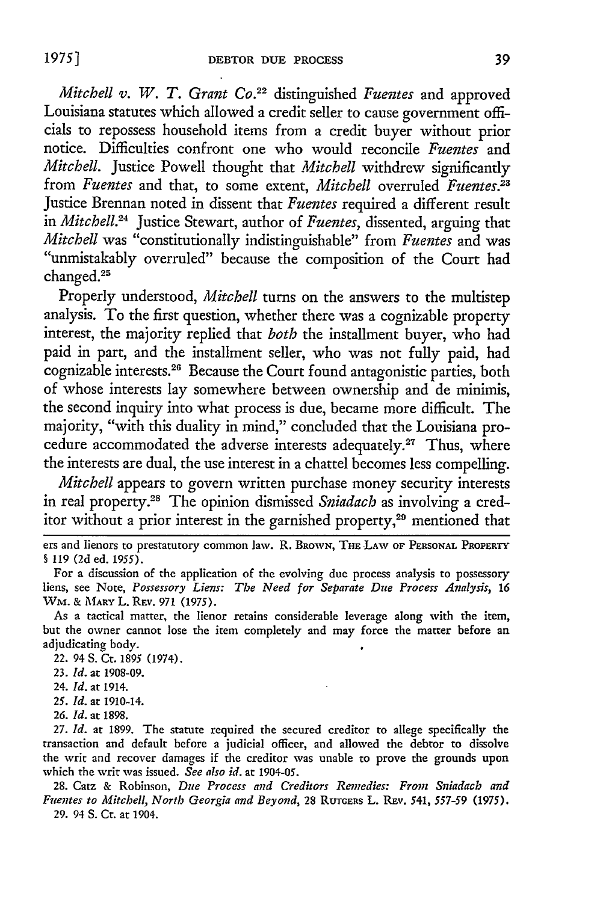*Mitchell v. W. T. Grant Co.*<sup>22</sup> distinguished *Fuentes* and approved Louisiana statutes which allowed a credit seller to cause government officials to repossess household items from a credit buyer without prior notice. Difficulties confront one who would reconcile *Fuentes* and *Mitchell.* Justice Powell thought that *Mitchell* withdrew significantly from *Fuentes* and that, to some extent, *Mitchell* overruled *Fuentes*.<sup>23</sup> Justice Brennan noted in dissent that *Fuentes* required a different result in *Mitchell.24* Justice Stewart, author of *Fuentes,* dissented, arguing that *Mitchell* was "constitutionally indistinguishable" from *Fuentes* and was "unmistakably overruled" because the composition of the Court had changed.25

Properly understood, *Mitchell* turns on the answers to the multistep analysis. To the first question, whether there was a cognizable property interest, the majority replied that *both* the installment buyer, who had paid in part, and the installment seller, who was not fully paid, had cognizable interests.<sup>26</sup> Because the Court found antagonistic parties, both of whose interests lay somewhere between ownership and de minimis, the second inquiry into what process is due, became more difficult. The majority, "with this duality in mind," concluded that the Louisiana procedure accommodated the adverse interests adequately.<sup>27</sup> Thus, where the interests are dual, the use interest in a chattel becomes less compelling.

*Mitchell* appears to govern written purchase money security interests in real property.28 The opinion dismissed *Sniadach* as involving a creditor without a prior interest in the garnished property,<sup>29</sup> mentioned that

ers and lienors to prestatutory common law. R. BROWN, THE LAW OF PERSONAL PROPERTY § 119 **(2d** ed. 1955).

For a discussion of the application of the evolving due process analysis to possessory liens, see Note, *Possessory Liens: The Need for Separate Due Process Analysis, 16* **WM. & MARY** L. **REv. 971** (1975).

As a tactical matter, the lienor retains considerable leverage along with the item, but the owner cannot lose the item completely and may force the matter before an adjudicating body.

22. 94 S. Ct. 1895 (1974).

23. *Id.* at 1908-09.

24. *Id.* at 1914.

*25. Id.* at 1910-14.

26. *Id.* at 1898.

27. *Id.* at 1899. The statute required the secured creditor to allege specifically the transaction and default before a judicial officer, and allowed the debtor to dissolve the writ and recover damages if the creditor was unable to prove the grounds upon which the writ was issued. *See also id.* at 1904-05.

**28.** Catz & Robinson, *Due Process and Creditors Remedies: From Sniadach and Fuentes to Mitchell, North Georgia and Beyond, 28 RUTGERS L. REV. 541, 557-59 (1975).* **29.** 94 **S.** Ct. at 1904.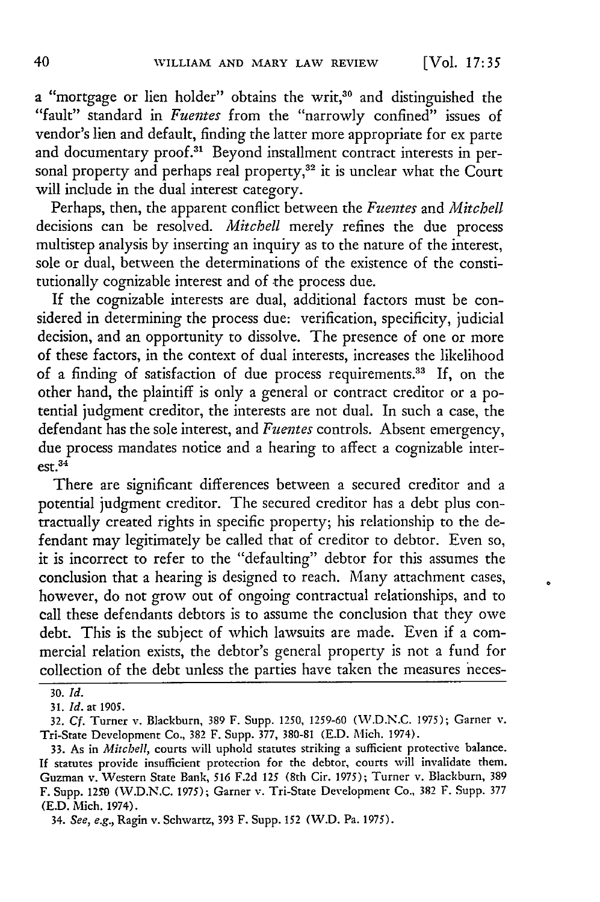a "mortgage or lien holder" obtains the writ,<sup>30</sup> and distinguished the "fault" standard in *Fuentes* from the "narrowly confined" issues of vendor's lien and default, finding the latter more appropriate for ex parte and documentary proof.<sup>31</sup> Beyond installment contract interests in personal property and perhaps real property,<sup>32</sup> it is unclear what the Court will include in the dual interest category.

Perhaps, then, the apparent conflict between the *Fuentes* and *Mitchell* decisions can be resolved. *Mitchell* merely refines the due process multistep analysis by inserting an inquiry as to the nature of the interest, sole or dual, between the determinations of the existence of the constitutionally cognizable interest and of the process due.

If the cognizable interests are dual, additional factors must be considered in determining the process due: verification, specificity, judicial decision, and an opportunity to dissolve. The presence of one or more of these factors, in the context of dual interests, increases the likelihood of a finding of satisfaction of due process requirements.<sup>33</sup> If, on the other hand, the plaintiff is only a general or contract creditor or a potential judgment creditor, the interests are not dual. In such a case, the defendant has the sole interest, and *Fuentes* controls. Absent emergency, due process mandates notice and a hearing to affect a cognizable interest. 34

There are significant differences between a secured creditor and a potential judgment creditor. The secured creditor has a debt plus contractually created rights in specific property; his relationship to the defendant may legitimately be called that of creditor to debtor. Even so, it is incorrect to refer to the "defaulting" debtor for this assumes the conclusion that a hearing is designed to reach. Many attachment cases, however, do not grow out of ongoing contractual relationships, and to call these defendants debtors is to assume the conclusion that they owe debt. This is the subject of which lawsuits are made. Even if a commercial relation exists, the debtor's general property is not a fund for collection of the debt unless the parties have taken the measures neces-

**<sup>30.</sup>** *Id.*

<sup>31.</sup> *Id.* at 1905.

<sup>32.</sup> Cf. Turner v. Blackburn, 389 F. Supp. 1250, 1259-60 (W.D.N.C. 1975); Garner v. Tri-State Development Co., 382 F. Supp. 377, 380-81 (E.D. Mich. 1974).

<sup>33.</sup> As in *Mitchell,* courts will uphold statutes striking a sufficient protective balance. If statutes provide insufficient protection for the debtor, courts will invalidate them. Guzman v. Western State Bank, *516* F.2d *125* (8th Cir. 1975); Turner v. Blackburn, 389 F. Supp. **1250** (W.D.N.C. 1975); Garner v. Tri-State Development Co., 382 F. Supp. 377 (E.D. Mich. 1974).

<sup>34.</sup> See, e.g., Ragin v. Schwartz, 393 F. Supp. *152* (W.D. Pa. 1975).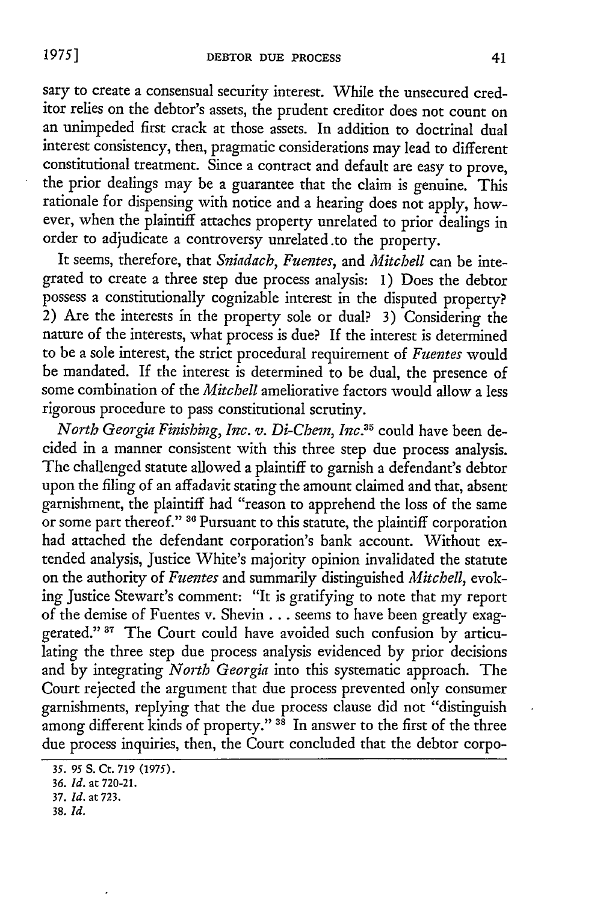sary to create a consensual security interest. While the unsecured creditor relies on the debtor's assets, the prudent creditor does not count on an unimpeded first crack at those assets. In addition to doctrinal dual interest consistency, then, pragmatic considerations may lead to different constitutional treatment. Since a contract and default are easy to prove, the prior dealings may be a guarantee that the claim is genuine. This rationale for dispensing with notice and a hearing does not apply, however, when the plaintiff attaches property unrelated to prior dealings in order to adjudicate a controversy unrelated.to the property.

It seems, therefore, that *Sniadach, Fuentes,* and *Mitchell* can be integrated to create a three step due process analysis: 1) Does the debtor possess a constitutionally cognizable interest in the disputed property? 2) Are the interests in the property sole or dual? **3)** Considering the nature of the interests, what process is due? If the interest is determined to be a sole interest, the strict procedural requirement of *Fuentes* would be mandated. If the interest is determined to be dual, the presence of some combination of the *Mitchell* ameliorative factors would allow a less rigorous procedure to pass constitutional scrutiny.

*North Georgia Finishing, Inc. v. Di-Chem, Inc.35* could have been decided in a manner consistent with this three step due process analysis. The challenged statute allowed a plaintiff to garnish a defendant's debtor upon the filing of an affadavit stating the amount claimed and that, absent garnishment, the plaintiff had "reason to apprehend the loss of the same or some part thereof." **36** Pursuant to this statute, the plaintiff corporation had attached the defendant corporation's bank account. Without extended analysis, Justice White's majority opinion invalidated the statute on the authority of *Fuentes* and summarily distinguished *Mitchell,* evoking Justice Stewart's comment: "It is gratifying to note that my report of the demise of Fuentes v. Shevin **. .** . seems to have been greatly exaggerated." **37** The Court could have avoided such confusion **by** articulating the three step due process analysis evidenced by prior decisions and **by** integrating *North Georgia* into this systematic approach. The Court rejected the argument that due process prevented only consumer garnishments, replying that the due process clause did not "distinguish among different kinds of property." **38** In answer to the first of the three due process inquiries, then, the Court concluded that the debtor corpo-

*<sup>35. 95</sup>* **S.** Ct. **719** (1975).

*<sup>36.</sup> Id.* at **720-21.**

**<sup>37.</sup>** *Id.* at 723.

**<sup>38.</sup>** *Id.*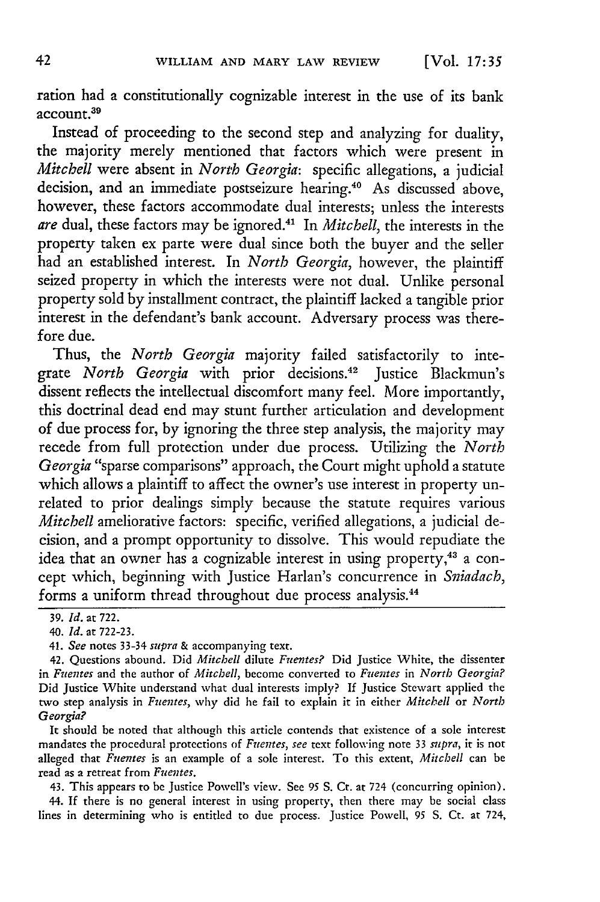ration had a constitutionally cognizable interest in the use of its bank account.<sup>39</sup>

Instead of proceeding to the second step and analyzing for duality, the majority merely mentioned that factors which were present in *Mitchell* were absent in *North Georgia:* specific allegations, a judicial decision, and an immediate postseizure hearing.4° As discussed above, however, these factors accommodate dual interests; unless the interests *are* dual, these factors may be ignored.4 In *Mitchell,* the interests in the property taken ex parte were dual since both the buyer and the seller had an established interest. In *North Georgia,* however, the plaintiff seized property in which the interests were not dual. Unlike personal property sold by installment contract, the plaintiff lacked a tangible prior interest in the defendant's bank account. Adversary process was therefore due.

Thus, the *North Georgia* majority failed satisfactorily to integrate *North Georgia* with prior decisions.42 Justice Blackmun's dissent reflects the intellectual discomfort many feel. More importantly, this doctrinal dead end may stunt further articulation and development of due process for, by ignoring the three step analysis, the majority may recede from full protection under due process. Utilizing the *North Georgia* "sparse comparisons" approach, the Court might uphold a statute which allows a plaintiff to affect the owner's use interest in property unrelated to prior dealings simply because the statute requires various *Mitchell* ameliorative factors: specific, verified allegations, a judicial decision, and a prompt opportunity to dissolve. This would repudiate the idea that an owner has a cognizable interest in using property,<sup>43</sup> a concept which, beginning with Justice Harlan's concurrence in *Sniadach,* forms a uniform thread throughout due process analysis. <sup>44</sup>

41. *See* notes 33-34 *supra* **&** accompanying text.

42. Questions abound. Did *Mitchell* dilute *Fuentes?* Did Justice White, the dissenter in *Fuentes* and the author of *Mitchell,* become converted to *Fuentes* in *North Georgia?* Did Justice White understand what dual interests imply? If Justice Stewart applied the two step analysis in *Fuentes,* why did he fail to explain it in either *Mitchell* or *North Georgia?*

It should be noted that although this article contends that existence of a sole interest mandates the procedural protections of *Fuentes, see* text following note 33 *supra,* it is not alleged that *Fuentes* is an example of a sole interest. To this extent, *Mitchell* can be read as a retreat from *Fuentes.*

43. This appears to be Justice Powell's view. See *95* S. Cr. at 724 (concurring opinion). 44. If there is no general interest in using property, then there may be social class lines in determining who is entitled to due process. Justice Powell, *95* S. Ct. at 724,

<sup>39.</sup> *Id.* at 722.

*<sup>40.</sup> Id.* at **722-23.**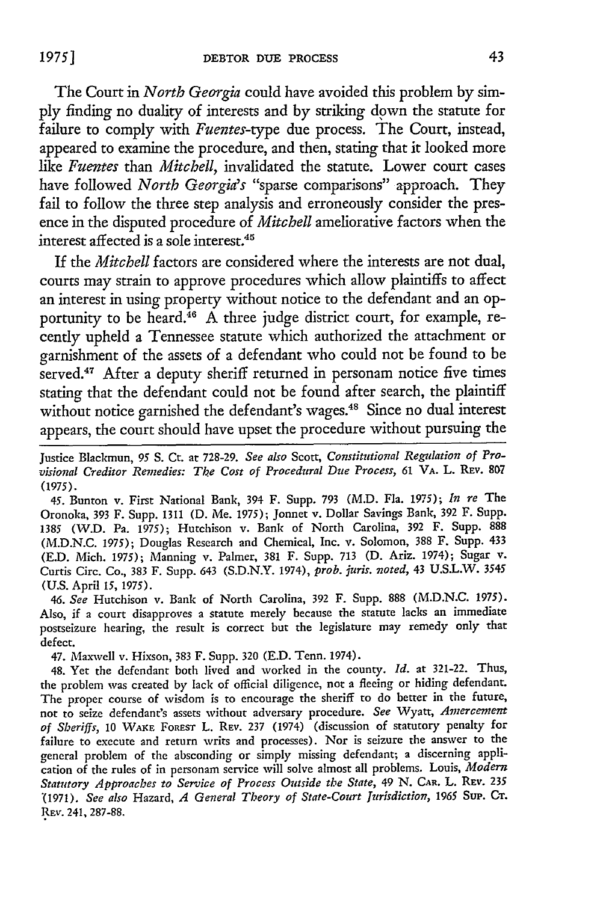The Court in *North Georgia* could have avoided this problem by simply finding no duality of interests and by striking down the statute for failure to comply with *Fuentes-type* due process. The Court, instead, appeared to examine the procedure, and then, stating that it looked more like *Fuentes* than *Mitchell,* invalidated the statute. Lower court cases have followed *North Georgia's* "sparse comparisons" approach. They fail to follow the three step analysis and erroneously consider the presence in the disputed procedure of *Mitchell* ameliorative factors when the interest affected is a sole interest. $45$ 

If the *Mitchell* factors are considered where the interests are not dual, courts may strain to approve procedures which allow plaintiffs to affect an interest in using property without notice to the defendant and an opportunity to be heard.<sup>46</sup> A three judge district court, for example, recently upheld a Tennessee statute which authorized the attachment or garnishment of the assets of a defendant who could not be found to be served.<sup>47</sup> After a deputy sheriff returned in personam notice five times stating that the defendant could not be found after search, the plaintiff without notice garnished the defendant's wages.<sup>48</sup> Since no dual interest appears, the court should have upset the procedure without pursuing the

Justice Blackmun, *95 S.* Ct. at 728-29. *See also* Scott, *Constitutional Regulation of Provisional Creditor Remedies: The Cost of Procedural Due Process, 61* **VA.** L. REV. **807** (1975).

45. Bunton v. First National Bank, 394 F. Supp. 793 (M.D. Fla. 1975); *In re* The Oronoka, 393 F. Supp. 1311 (D. Me. 1975); Jonnet v. Dollar Savings Bank, 392 F. Supp. 1385 (W.D. Pa. 1975); Hutchison v. Bank of North Carolina, 392 F. Supp. 888 (M.D.N.C. 1975); Douglas Research and Chemical, Inc. v. Solomon, 388 F. Supp. 433 (E.D. Mich. 1975); Manning v. Palmer, 381 F. Supp. 713 (D. Ariz. 1974); Sugar v. Curtis Circ. Co., 383 F. Supp. 643 (S.D.N.Y. 1974), *prob. juris. noted,* 43 U.S.L.W. 3545 (U.S. April *15,* 1975).

*46. See* Hutchison v. Bank of North Carolina, 392 F. Supp. 888 (M.D.N.C. 1975). Also, if a court disapproves a statute merely because the statute lacks an immediate postseizure hearing, the result is correct but the legislature may remedy only that defect.

47. Maxwell v. Hixson, 383 F. Supp. 320 (E.D. Tenn. 1974).

48. Yet the defendant both lived and worked in the county. *Id.* at 321-22. Thus, the problem was created by lack of official diligence, not a fleeing or hiding defendant. The proper course of wisdom is to encourage the sheriff to do better in the future, not to seize defendant's assets without adversary procedure. *See* Wyatt, *Arnercernent of Sheriffs,* 10 WAKE FoRsr L. **REV.** 237 (1974) (discussion of statutory penalty for failure to execute and return writs and processes). Nor is seizure the answer to the general problem of the absconding or simply missing defendant; a discerning application of the rules of in personam service will solve almost all problems. Louis, *Modern Statutory Approaches to Service of Process Outside the State,* 49 **N.** CAR. L. **REV. <sup>235</sup>** "(1971). *See also* Hazard, *A General Theory of State-Court Jurisdiction,* **1965** SuP. **CT.** REv. 241, 287-88.

**19751**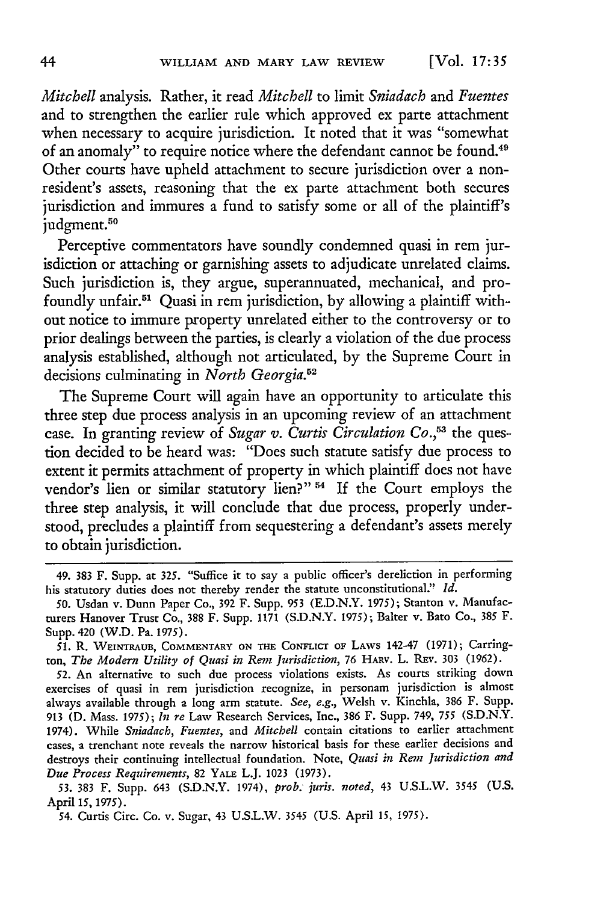*Mitchell* analysis. Rather, it read *Mitchell* to limit *Sniadach* and *Fuentes* and to strengthen the earlier rule which approved ex parte attachment when necessary to acquire jurisdiction. It noted that it was "somewhat of an anomaly" to require notice where the defendant cannot be found.49 Other courts have upheld attachment to secure jurisdiction over a nonresident's assets, reasoning that the ex parte attachment both secures jurisdiction and immures a fund to satisfy some or all of the plaintiff's judgment.<sup>50</sup>

Perceptive commentators have soundly condemned quasi in rem jurisdiction or attaching or garnishing assets to adjudicate unrelated claims. Such jurisdiction is, they argue, superannuated, mechanical, and profoundly unfair.51 Quasi in rem jurisdiction, by allowing a plaintiff without notice to immure property unrelated either to the controversy or to prior dealings between the parties, is clearly a violation of the due process analysis established, although not articulated, by the Supreme Court in decisions culminating in *North Georgia.52*

The Supreme Court will again have an opportunity to articulate this three step due process analysis in an upcoming review of an attachment case. In granting review of *Sugar v. Curtis Circulation Co.*<sup>53</sup> the question decided to be heard was: "Does such statute satisfy due process to extent it permits attachment of property in which plaintiff does not have vendor's lien or similar statutory lien?" <sup>54</sup> If the Court employs the three step analysis, it will conclude that due process, properly understood, precludes a plaintiff from sequestering a defendant's assets merely to obtain jurisdiction.

**53.** 383 F. Supp. 643 (S.D.N.Y. 1974), *prob. juris. noted,* 43 U.S.L.W. 3545 (U.S. April 15, 1975).

<sup>49.</sup> **383** F. Supp. at 325. "Suffice it to say a public officer's dereliction in performing his statutory duties does not thereby render the statute unconstitutional." *Id.*

*<sup>50.</sup>* Usdan v. Dunn Paper Co., 392 F. Supp. **953** (E.D.N.Y. 1975); Stanton v. Manufacturers Hanover Trust Co., **388** F. Supp. 1171 (S.D.N.Y. 1975); Baiter v. Bato Co., **385** F. Supp. 420 (W.D. Pa. 1975).

**<sup>51.</sup>** R. WEINTRAUB, COMMENTARY **ON THE CONFLICT** OF LAWS 142-47 (1971); Carrington, *The Modern Utility of Quasi in Rem Jurisdiction,* 76 HARV. L. REv. 303 (1962).

<sup>52.</sup> An alternative to such due process violations exists. As courts striking down exercises of quasi in rem jurisdiction recognize, in personam jurisdiction is almost alvays available through a long arm statute. *See, e.g.,* Welsh v. Kinchla, 386 F. Supp. 913 **(D.** Mass. 1975); *In re* Law Research Services, Inc., 386 F. Supp. 749, 755 (S.D.N.Y. 1974). While *Sniadach, Fuentes,* and *Mitchell* contain citations to earlier attachment cases, a trenchant note reveals the narrow historical basis for these earlier decisions and destroys their continuing intellectual foundation. Note, *Quasi in Rent Jurisdiction and Due Process Requirements,* 82 YALE L.J. 1023 (1973).

<sup>54.</sup> Curtis Circ. Co. v. Sugar, 43 U.S.L.W. 3545 (U.S. April *15,* 1975).